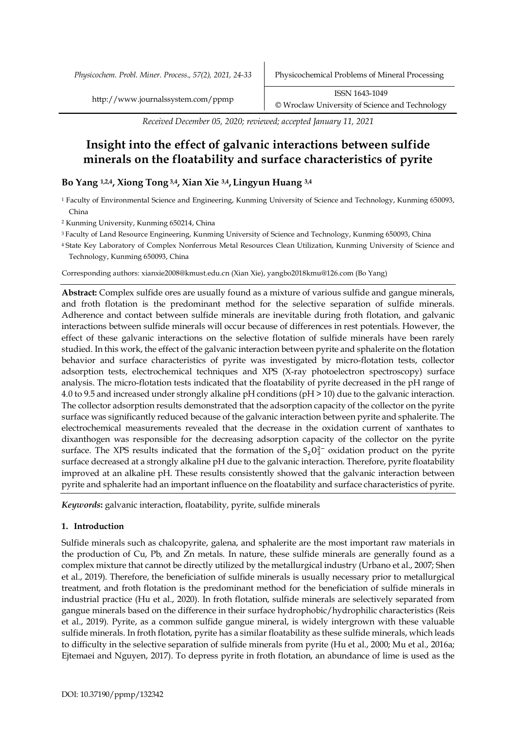http://www.journalssystem.com/ppmp ISSN 1643-1049 © Wroclaw University of Science and Technology

*Received December 05, 2020; reviewed; accepted January 11, 2021*

# **Insight into the effect of galvanic interactions between sulfide minerals on the floatability and surface characteristics of pyrite**

# **Bo Yang 1,2,4, Xiong Tong 3,4, Xian Xie 3,4, Lingyun Huang 3,4**

<sup>1</sup> Faculty of Environmental Science and Engineering, Kunming University of Science and Technology, Kunming 650093, China

<sup>2</sup> Kunming University, Kunming 650214, China

3 Faculty of Land Resource Engineering, Kunming University of Science and Technology, Kunming 650093, China

4 State Key Laboratory of Complex Nonferrous Metal Resources Clean Utilization, Kunming University of Science and Technology, Kunming 650093, China

Corresponding authors: xianxie2008@kmust.edu.cn (Xian Xie), yangbo2018kmu@126.com (Bo Yang)

**Abstract:** Complex sulfide ores are usually found as a mixture of various sulfide and gangue minerals, and froth flotation is the predominant method for the selective separation of sulfide minerals. Adherence and contact between sulfide minerals are inevitable during froth flotation, and galvanic interactions between sulfide minerals will occur because of differences in rest potentials. However, the effect of these galvanic interactions on the selective flotation of sulfide minerals have been rarely studied. In this work, the effect of the galvanic interaction between pyrite and sphalerite on the flotation behavior and surface characteristics of pyrite was investigated by micro-flotation tests, collector adsorption tests, electrochemical techniques and XPS (X-ray photoelectron spectroscopy) surface analysis. The micro-flotation tests indicated that the floatability of pyrite decreased in the pH range of 4.0 to 9.5 and increased under strongly alkaline pH conditions (pH > 10) due to the galvanic interaction. The collector adsorption results demonstrated that the adsorption capacity of the collector on the pyrite surface was significantly reduced because of the galvanic interaction between pyrite and sphalerite. The electrochemical measurements revealed that the decrease in the oxidation current of xanthates to dixanthogen was responsible for the decreasing adsorption capacity of the collector on the pyrite surface. The XPS results indicated that the formation of the  $S_2O_3^{2-}$  oxidation product on the pyrite surface decreased at a strongly alkaline pH due to the galvanic interaction. Therefore, pyrite floatability improved at an alkaline pH. These results consistently showed that the galvanic interaction between pyrite and sphalerite had an important influence on the floatability and surface characteristics of pyrite.

*Keywords***:** galvanic interaction, floatability, pyrite, sulfide minerals

## **1. Introduction**

Sulfide minerals such as chalcopyrite, galena, and sphalerite are the most important raw materials in the production of Cu, Pb, and Zn metals. In nature, these sulfide minerals are generally found as a complex mixture that cannot be directly utilized by the metallurgical industry (Urbano et al., 2007; Shen et al., 2019). Therefore, the beneficiation of sulfide minerals is usually necessary prior to metallurgical treatment, and froth flotation is the predominant method for the beneficiation of sulfide minerals in industrial practice (Hu et al., 2020). In froth flotation, sulfide minerals are selectively separated from gangue minerals based on the difference in their surface hydrophobic/hydrophilic characteristics (Reis et al., 2019). Pyrite, as a common sulfide gangue mineral, is widely intergrown with these valuable sulfide minerals. In froth flotation, pyrite has a similar floatability as these sulfide minerals, which leads to difficulty in the selective separation of sulfide minerals from pyrite (Hu et al., 2000; Mu et al., 2016a; Ejtemaei and Nguyen, 2017). To depress pyrite in froth flotation, an abundance of lime is used as the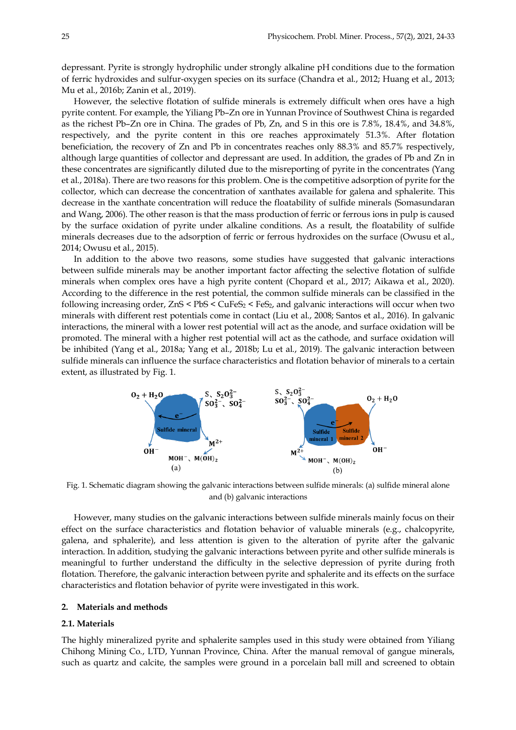depressant. Pyrite is strongly hydrophilic under strongly alkaline pH conditions due to the formation of ferric hydroxides and sulfur-oxygen species on its surface (Chandra et al., 2012; Huang et al., 2013; Mu et al., 2016b; Zanin et al., 2019).

However, the selective flotation of sulfide minerals is extremely difficult when ores have a high pyrite content. For example, the Yiliang Pb–Zn ore in Yunnan Province of Southwest China is regarded as the richest Pb–Zn ore in China. The grades of Pb, Zn, and S in this ore is 7.8%, 18.4%, and 34.8%, respectively, and the pyrite content in this ore reaches approximately 51.3%. After flotation beneficiation, the recovery of Zn and Pb in concentrates reaches only 88.3% and 85.7% respectively, although large quantities of collector and depressant are used. In addition, the grades of Pb and Zn in these concentrates are significantly diluted due to the misreporting of pyrite in the concentrates (Yang et al., 2018a). There are two reasons for this problem. One is the competitive adsorption of pyrite for the collector, which can decrease the concentration of xanthates available for galena and sphalerite. This decrease in the xanthate concentration will reduce the floatability of sulfide minerals (Somasundaran and Wang, 2006). The other reason is that the mass production of ferric or ferrous ions in pulp is caused by the surface oxidation of pyrite under alkaline conditions. As a result, the floatability of sulfide minerals decreases due to the adsorption of ferric or ferrous hydroxides on the surface (Owusu et al., 2014; Owusu et al., 2015).

In addition to the above two reasons, some studies have suggested that galvanic interactions between sulfide minerals may be another important factor affecting the selective flotation of sulfide minerals when complex ores have a high pyrite content (Chopard et al., 2017; Aikawa et al., 2020). According to the difference in the rest potential, the common sulfide minerals can be classified in the following increasing order,  $ZnS < PbS < CuFeS<sub>2</sub>$ , and galvanic interactions will occur when two minerals with different rest potentials come in contact (Liu et al., 2008; Santos et al., 2016). In galvanic interactions, the mineral with a lower rest potential will act as the anode, and surface oxidation will be promoted. The mineral with a higher rest potential will act as the cathode, and surface oxidation will be inhibited (Yang et al., 2018a; Yang et al., 2018b; Lu et al., 2019). The galvanic interaction between sulfide minerals can influence the surface characteristics and flotation behavior of minerals to a certain extent, as illustrated by Fig. 1.



Fig. 1. Schematic diagram showing the galvanic interactions between sulfide minerals: (a) sulfide mineral alone and (b) galvanic interactions

However, many studies on the galvanic interactions between sulfide minerals mainly focus on their effect on the surface characteristics and flotation behavior of valuable minerals (e.g., chalcopyrite, galena, and sphalerite), and less attention is given to the alteration of pyrite after the galvanic interaction. In addition, studying the galvanic interactions between pyrite and other sulfide minerals is meaningful to further understand the difficulty in the selective depression of pyrite during froth flotation. Therefore, the galvanic interaction between pyrite and sphalerite and its effects on the surface characteristics and flotation behavior of pyrite were investigated in this work.

## **2. Materials and methods**

## **2.1. Materials**

The highly mineralized pyrite and sphalerite samples used in this study were obtained from Yiliang Chihong Mining Co., LTD, Yunnan Province, China. After the manual removal of gangue minerals, such as quartz and calcite, the samples were ground in a porcelain ball mill and screened to obtain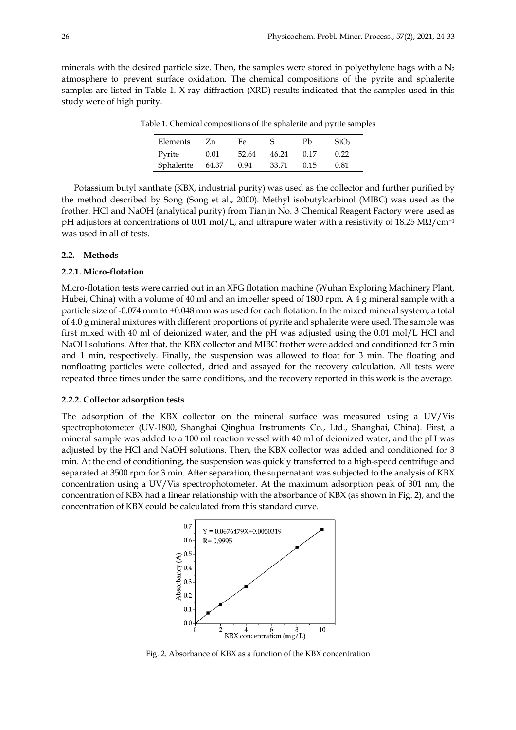minerals with the desired particle size. Then, the samples were stored in polyethylene bags with a  $N_2$ atmosphere to prevent surface oxidation. The chemical compositions of the pyrite and sphalerite samples are listed in Table 1. X-ray diffraction (XRD) results indicated that the samples used in this study were of high purity.

| Elements   | Zn    | Fe    |       | Ph   | SiO <sub>2</sub> |
|------------|-------|-------|-------|------|------------------|
| Pyrite     | 0.01  | 52.64 | 46.24 | 0.17 | 0.22             |
| Sphalerite | 64.37 | 0.94  | 33.71 | 0.15 | O 81             |

Table 1. Chemical compositions of the sphalerite and pyrite samples

Potassium butyl xanthate (KBX, industrial purity) was used as the collector and further purified by the method described by Song (Song et al., 2000). Methyl isobutylcarbinol (MIBC) was used as the frother. HCl and NaOH (analytical purity) from Tianjin No. 3 Chemical Reagent Factory were used as pH adjustors at concentrations of 0.01 mol/L, and ultrapure water with a resistivity of 18.25 MΩ/cm<sup>-1</sup> was used in all of tests.

#### **2.2. Methods**

## **2.2.1. Micro-flotation**

Micro-flotation tests were carried out in an XFG flotation machine (Wuhan Exploring Machinery Plant, Hubei, China) with a volume of 40 ml and an impeller speed of 1800 rpm. A 4 g mineral sample with a particle size of -0.074 mm to +0.048 mm was used for each flotation. In the mixed mineral system, a total of 4.0 g mineral mixtures with different proportions of pyrite and sphalerite were used. The sample was first mixed with 40 ml of deionized water, and the pH was adjusted using the 0.01 mol/L HCl and NaOH solutions. After that, the KBX collector and MIBC frother were added and conditioned for 3 min and 1 min, respectively. Finally, the suspension was allowed to float for 3 min. The floating and nonfloating particles were collected, dried and assayed for the recovery calculation. All tests were repeated three times under the same conditions, and the recovery reported in this work is the average.

## **2.2.2. Collector adsorption tests**

The adsorption of the KBX collector on the mineral surface was measured using a UV/Vis spectrophotometer (UV-1800, Shanghai Qinghua Instruments Co., Ltd., Shanghai, China). First, a mineral sample was added to a 100 ml reaction vessel with 40 ml of deionized water, and the pH was adjusted by the HCl and NaOH solutions. Then, the KBX collector was added and conditioned for 3 min. At the end of conditioning, the suspension was quickly transferred to a high-speed centrifuge and separated at 3500 rpm for 3 min. After separation, the supernatant was subjected to the analysis of KBX concentration using a UV/Vis spectrophotometer. At the maximum adsorption peak of 301 nm, the concentration of KBX had a linear relationship with the absorbance of KBX (as shown in Fig. 2), and the concentration of KBX could be calculated from this standard curve.



Fig. 2. Absorbance of KBX as a function of the KBX concentration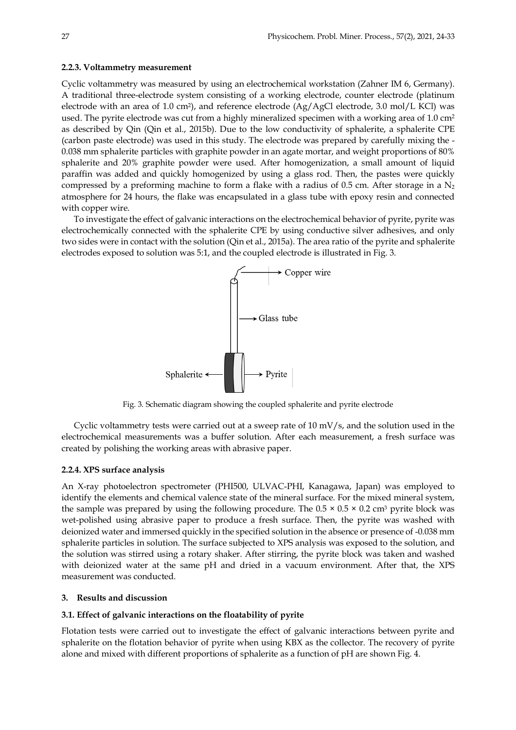## **2.2.3. Voltammetry measurement**

Cyclic voltammetry was measured by using an electrochemical workstation (Zahner IM 6, Germany). A traditional three-electrode system consisting of a working electrode, counter electrode (platinum electrode with an area of 1.0 cm<sup>2</sup>), and reference electrode (Ag/AgCl electrode, 3.0 mol/L KCl) was used. The pyrite electrode was cut from a highly mineralized specimen with a working area of 1.0 cm<sup>2</sup> as described by Qin (Qin et al., 2015b). Due to the low conductivity of sphalerite, a sphalerite CPE (carbon paste electrode) was used in this study. The electrode was prepared by carefully mixing the - 0.038 mm sphalerite particles with graphite powder in an agate mortar, and weight proportions of 80% sphalerite and 20% graphite powder were used. After homogenization, a small amount of liquid paraffin was added and quickly homogenized by using a glass rod. Then, the pastes were quickly compressed by a preforming machine to form a flake with a radius of 0.5 cm. After storage in a  $N_2$ atmosphere for 24 hours, the flake was encapsulated in a glass tube with epoxy resin and connected with copper wire.

To investigate the effect of galvanic interactions on the electrochemical behavior of pyrite, pyrite was electrochemically connected with the sphalerite CPE by using conductive silver adhesives, and only two sides were in contact with the solution (Qin et al., 2015a). The area ratio of the pyrite and sphalerite electrodes exposed to solution was 5:1, and the coupled electrode is illustrated in Fig. 3.



Fig. 3. Schematic diagram showing the coupled sphalerite and pyrite electrode

Cyclic voltammetry tests were carried out at a sweep rate of 10 mV/s, and the solution used in the electrochemical measurements was a buffer solution. After each measurement, a fresh surface was created by polishing the working areas with abrasive paper.

## **2.2.4. XPS surface analysis**

An X-ray photoelectron spectrometer (PHI500, ULVAC-PHI, Kanagawa, Japan) was employed to identify the elements and chemical valence state of the mineral surface. For the mixed mineral system, the sample was prepared by using the following procedure. The  $0.5 \times 0.5 \times 0.2$  cm<sup>3</sup> pyrite block was wet-polished using abrasive paper to produce a fresh surface. Then, the pyrite was washed with deionized water and immersed quickly in the specified solution in the absence or presence of -0.038 mm sphalerite particles in solution. The surface subjected to XPS analysis was exposed to the solution, and the solution was stirred using a rotary shaker. After stirring, the pyrite block was taken and washed with deionized water at the same pH and dried in a vacuum environment. After that, the XPS measurement was conducted.

## **3. Results and discussion**

## **3.1. Effect of galvanic interactions on the floatability of pyrite**

Flotation tests were carried out to investigate the effect of galvanic interactions between pyrite and sphalerite on the flotation behavior of pyrite when using KBX as the collector. The recovery of pyrite alone and mixed with different proportions of sphalerite as a function of pH are shown Fig. 4.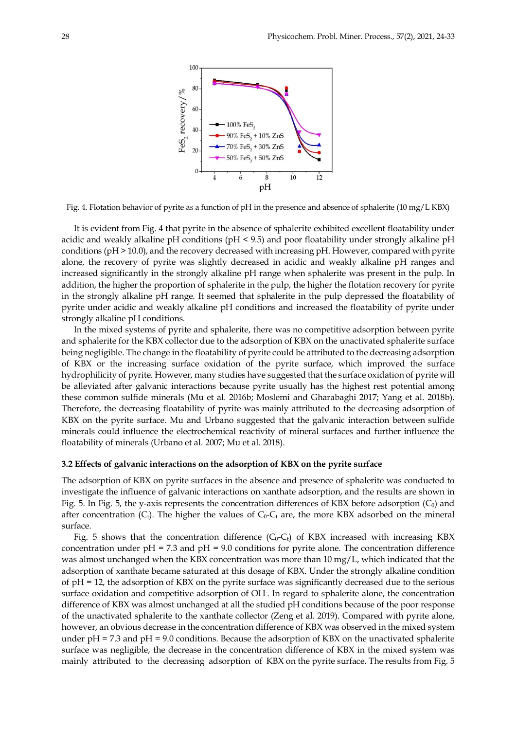

Fig. 4. Flotation behavior of pyrite as a function of pH in the presence and absence of sphalerite (10 mg/L KBX)

It is evident from Fig. 4 that pyrite in the absence of sphalerite exhibited excellent floatability under acidic and weakly alkaline pH conditions (pH < 9.5) and poor floatability under strongly alkaline pH conditions (pH > 10.0), and the recovery decreased with increasing pH. However, compared with pyrite alone, the recovery of pyrite was slightly decreased in acidic and weakly alkaline pH ranges and increased significantly in the strongly alkaline pH range when sphalerite was present in the pulp. In addition, the higher the proportion of sphalerite in the pulp, the higher the flotation recovery for pyrite in the strongly alkaline pH range. It seemed that sphalerite in the pulp depressed the floatability of pyrite under acidic and weakly alkaline pH conditions and increased the floatability of pyrite under strongly alkaline pH conditions.

In the mixed systems of pyrite and sphalerite, there was no competitive adsorption between pyrite and sphalerite for the KBX collector due to the adsorption of KBX on the unactivated sphalerite surface being negligible. The change in the floatability of pyrite could be attributed to the decreasing adsorption of KBX or the increasing surface oxidation of the pyrite surface, which improved the surface hydrophilicity of pyrite. However, many studies have suggested that the surface oxidation of pyrite will be alleviated after galvanic interactions because pyrite usually has the highest rest potential among these common sulfide minerals (Mu et al. 2016b; Moslemi and Gharabaghi 2017; Yang et al. 2018b). Therefore, the decreasing floatability of pyrite was mainly attributed to the decreasing adsorption of KBX on the pyrite surface. Mu and Urbano suggested that the galvanic interaction between sulfide minerals could influence the electrochemical reactivity of mineral surfaces and further influence the floatability of minerals (Urbano et al. 2007; Mu et al. 2018).

## **3.2 Effects of galvanic interactions on the adsorption of KBX on the pyrite surface**

The adsorption of KBX on pyrite surfaces in the absence and presence of sphalerite was conducted to investigate the influence of galvanic interactions on xanthate adsorption, and the results are shown in Fig. 5. In Fig. 5, the y-axis represents the concentration differences of KBX before adsorption  $(C_0)$  and after concentration  $(C_t)$ . The higher the values of  $C_0$ -C<sub>t</sub> are, the more KBX adsorbed on the mineral surface.

Fig. 5 shows that the concentration difference  $(C_0-C_t)$  of KBX increased with increasing KBX concentration under  $pH = 7.3$  and  $pH = 9.0$  conditions for pyrite alone. The concentration difference was almost unchanged when the KBX concentration was more than  $10 \text{ mg/L}$ , which indicated that the adsorption of xanthate became saturated at this dosage of KBX. Under the strongly alkaline condition of pH = 12, the adsorption of KBX on the pyrite surface was significantly decreased due to the serious surface oxidation and competitive adsorption of OH- . In regard to sphalerite alone, the concentration difference of KBX was almost unchanged at all the studied pH conditions because of the poor response of the unactivated sphalerite to the xanthate collector (Zeng et al. 2019). Compared with pyrite alone, however, an obvious decrease in the concentration difference of KBX was observed in the mixed system under pH = 7.3 and pH = 9.0 conditions. Because the adsorption of KBX on the unactivated sphalerite surface was negligible, the decrease in the concentration difference of KBX in the mixed system was mainly attributed to the decreasing adsorption of KBX on the pyrite surface. The results from Fig. 5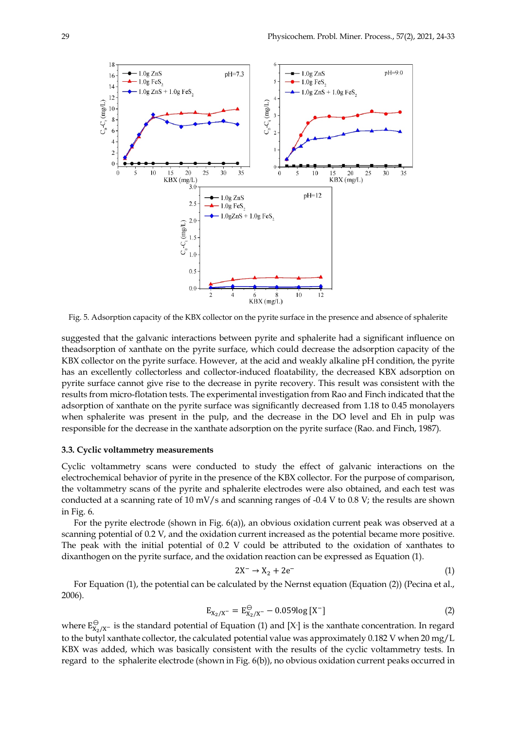

Fig. 5. Adsorption capacity of the KBX collector on the pyrite surface in the presence and absence of sphalerite

suggested that the galvanic interactions between pyrite and sphalerite had a significant influence on theadsorption of xanthate on the pyrite surface, which could decrease the adsorption capacity of the KBX collector on the pyrite surface. However, at the acid and weakly alkaline pH condition, the pyrite has an excellently collectorless and collector-induced floatability, the decreased KBX adsorption on pyrite surface cannot give rise to the decrease in pyrite recovery. This result was consistent with the results from micro-flotation tests. The experimental investigation from Rao and Finch indicated that the adsorption of xanthate on the pyrite surface was significantly decreased from 1.18 to 0.45 monolayers when sphalerite was present in the pulp, and the decrease in the DO level and Eh in pulp was responsible for the decrease in the xanthate adsorption on the pyrite surface (Rao. and Finch, 1987).

## **3.3. Cyclic voltammetry measurements**

Cyclic voltammetry scans were conducted to study the effect of galvanic interactions on the electrochemical behavior of pyrite in the presence of the KBX collector. For the purpose of comparison, the voltammetry scans of the pyrite and sphalerite electrodes were also obtained, and each test was conducted at a scanning rate of 10 mV/s and scanning ranges of -0.4 V to 0.8 V; the results are shown in Fig. 6.

For the pyrite electrode (shown in Fig. 6(a)), an obvious oxidation current peak was observed at a scanning potential of 0.2 V, and the oxidation current increased as the potential became more positive. The peak with the initial potential of 0.2 V could be attributed to the oxidation of xanthates to dixanthogen on the pyrite surface, and the oxidation reaction can be expressed as Equation (1).

$$
2X^- \to X_2 + 2e^- \tag{1}
$$

For Equation (1), the potential can be calculated by the Nernst equation (Equation (2)) (Pecina et al., 2006).

$$
E_{X_2/X^-} = E_{X_2/X^-}^{\ominus} - 0.059 \log [X^-]
$$
 (2)

where  $E_{X_2/X^-}^{\ominus}$  is the standard potential of Equation (1) and [X-] is the xanthate concentration. In regard to the butyl xanthate collector, the calculated potential value was approximately 0.182 V when 20 mg/L KBX was added, which was basically consistent with the results of the cyclic voltammetry tests. In regard to the sphalerite electrode (shown in Fig. 6(b)), no obvious oxidation current peaks occurred in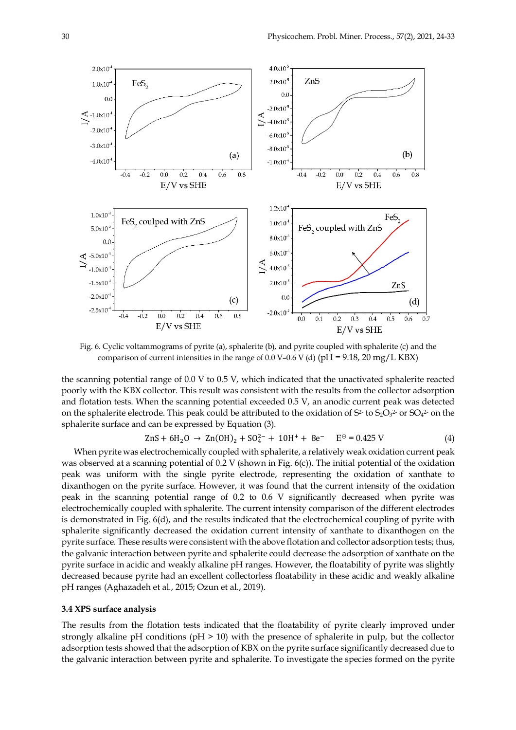

Fig. 6. Cyclic voltammograms of pyrite (a), sphalerite (b), and pyrite coupled with sphalerite (c) and the comparison of current intensities in the range of 0.0 V–0.6 V (d) (pH = 9.18, 20 mg/L KBX)

the scanning potential range of 0.0 V to 0.5 V, which indicated that the unactivated sphalerite reacted poorly with the KBX collector. This result was consistent with the results from the collector adsorption and flotation tests. When the scanning potential exceeded 0.5 V, an anodic current peak was detected on the sphalerite electrode. This peak could be attributed to the oxidation of  $S^2$  to  $S_2O_3^2$  or  $SO_4^2$  on the sphalerite surface and can be expressed by Equation (3).

$$
ZnS + 6H_2O \rightarrow Zn(OH)_2 + SO_4^{2-} + 10H^+ + 8e^- \quad E^{\ominus} = 0.425 \text{ V}
$$
 (4)

When pyrite was electrochemically coupled with sphalerite, a relatively weak oxidation current peak was observed at a scanning potential of  $0.2$  V (shown in Fig.  $6(c)$ ). The initial potential of the oxidation peak was uniform with the single pyrite electrode, representing the oxidation of xanthate to dixanthogen on the pyrite surface. However, it was found that the current intensity of the oxidation peak in the scanning potential range of 0.2 to 0.6 V significantly decreased when pyrite was electrochemically coupled with sphalerite. The current intensity comparison of the different electrodes is demonstrated in Fig. 6(d), and the results indicated that the electrochemical coupling of pyrite with sphalerite significantly decreased the oxidation current intensity of xanthate to dixanthogen on the pyrite surface. These results were consistent with the above flotation and collector adsorption tests; thus, the galvanic interaction between pyrite and sphalerite could decrease the adsorption of xanthate on the pyrite surface in acidic and weakly alkaline pH ranges. However, the floatability of pyrite was slightly decreased because pyrite had an excellent collectorless floatability in these acidic and weakly alkaline pH ranges (Aghazadeh et al., 2015; Ozun et al., 2019).

#### **3.4 XPS surface analysis**

The results from the flotation tests indicated that the floatability of pyrite clearly improved under strongly alkaline pH conditions (pH > 10) with the presence of sphalerite in pulp, but the collector adsorption tests showed that the adsorption of KBX on the pyrite surface significantly decreased due to the galvanic interaction between pyrite and sphalerite. To investigate the species formed on the pyrite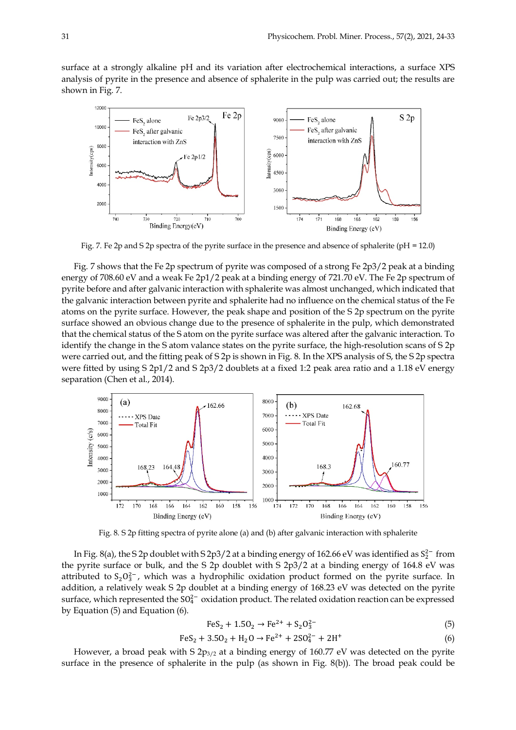surface at a strongly alkaline pH and its variation after electrochemical interactions, a surface XPS analysis of pyrite in the presence and absence of sphalerite in the pulp was carried out; the results are shown in Fig. 7.



Fig. 7. Fe 2p and S 2p spectra of the pyrite surface in the presence and absence of sphalerite (pH = 12.0)

Fig. 7 shows that the Fe 2p spectrum of pyrite was composed of a strong Fe 2p3/2 peak at a binding energy of 708.60 eV and a weak Fe 2p1/2 peak at a binding energy of 721.70 eV. The Fe 2p spectrum of pyrite before and after galvanic interaction with sphalerite was almost unchanged, which indicated that the galvanic interaction between pyrite and sphalerite had no influence on the chemical status of the Fe atoms on the pyrite surface. However, the peak shape and position of the S 2p spectrum on the pyrite surface showed an obvious change due to the presence of sphalerite in the pulp, which demonstrated that the chemical status of the S atom on the pyrite surface was altered after the galvanic interaction. To identify the change in the S atom valance states on the pyrite surface, the high-resolution scans of S 2p were carried out, and the fitting peak of S 2p is shown in Fig. 8. In the XPS analysis of S, the S 2p spectra were fitted by using S 2p1/2 and S 2p3/2 doublets at a fixed 1:2 peak area ratio and a 1.18 eV energy separation (Chen et al., 2014).



Fig. 8. S 2p fitting spectra of pyrite alone (a) and (b) after galvanic interaction with sphalerite

In Fig. 8(a), the S 2p doublet with S 2p3/2 at a binding energy of 162.66 eV was identified as  $S_2^{2-}$  from the pyrite surface or bulk, and the S 2p doublet with S 2p3/2 at a binding energy of 164.8 eV was attributed to  $S_2O_3^{2-}$ , which was a hydrophilic oxidation product formed on the pyrite surface. In addition, a relatively weak S 2p doublet at a binding energy of 168.23 eV was detected on the pyrite surface, which represented the  $SO_4^{2-}$  oxidation product. The related oxidation reaction can be expressed by Equation (5) and Equation (6).

$$
FeS_2 + 1.5O_2 \rightarrow Fe^{2+} + S_2O_3^{2-} \tag{5}
$$

$$
FeS_2 + 3.5O_2 + H_2O \rightarrow Fe^{2+} + 2SO_4^{2-} + 2H^+ \tag{6}
$$

However, a broad peak with S  $2p_{3/2}$  at a binding energy of 160.77 eV was detected on the pyrite surface in the presence of sphalerite in the pulp (as shown in Fig. 8(b)). The broad peak could be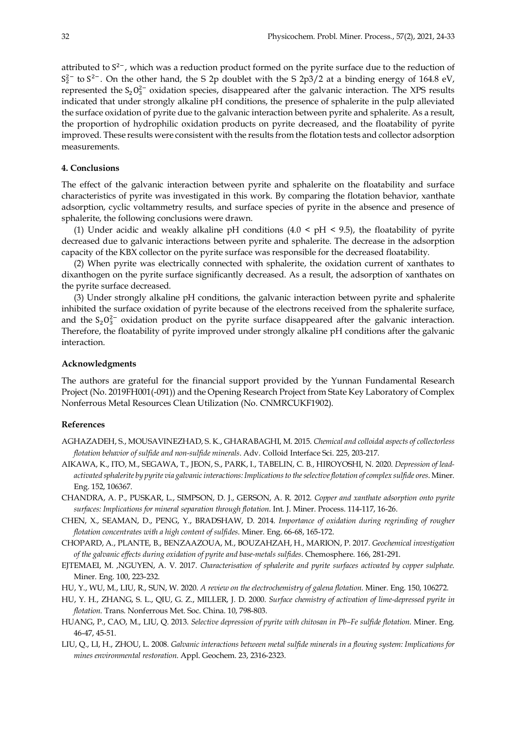attributed to  $S^{2-}$ , which was a reduction product formed on the pyrite surface due to the reduction of  $S_2^{2-}$  to  $S^{2-}$ . On the other hand, the S 2p doublet with the S 2p3/2 at a binding energy of 164.8 eV, represented the  $S_2O_3^{2-}$  oxidation species, disappeared after the galvanic interaction. The XPS results indicated that under strongly alkaline pH conditions, the presence of sphalerite in the pulp alleviated the surface oxidation of pyrite due to the galvanic interaction between pyrite and sphalerite. As a result, the proportion of hydrophilic oxidation products on pyrite decreased, and the floatability of pyrite improved. These results were consistent with the results from the flotation tests and collector adsorption measurements.

# **4. Conclusions**

The effect of the galvanic interaction between pyrite and sphalerite on the floatability and surface characteristics of pyrite was investigated in this work. By comparing the flotation behavior, xanthate adsorption, cyclic voltammetry results, and surface species of pyrite in the absence and presence of sphalerite, the following conclusions were drawn.

(1) Under acidic and weakly alkaline pH conditions  $(4.0 \leq pH \leq 9.5)$ , the floatability of pyrite decreased due to galvanic interactions between pyrite and sphalerite. The decrease in the adsorption capacity of the KBX collector on the pyrite surface was responsible for the decreased floatability.

(2) When pyrite was electrically connected with sphalerite, the oxidation current of xanthates to dixanthogen on the pyrite surface significantly decreased. As a result, the adsorption of xanthates on the pyrite surface decreased.

(3) Under strongly alkaline pH conditions, the galvanic interaction between pyrite and sphalerite inhibited the surface oxidation of pyrite because of the electrons received from the sphalerite surface, and the  $S_2O_3^{2-}$  oxidation product on the pyrite surface disappeared after the galvanic interaction. Therefore, the floatability of pyrite improved under strongly alkaline pH conditions after the galvanic interaction.

## **Acknowledgments**

The authors are grateful for the financial support provided by the Yunnan Fundamental Research Project (No. 2019FH001(-091)) and the Opening Research Project from State Key Laboratory of Complex Nonferrous Metal Resources Clean Utilization (No. CNMRCUKF1902).

#### **References**

- AGHAZADEH, S., MOUSAVINEZHAD, S. K., GHARABAGHI, M. 2015. *Chemical and colloidal aspects of collectorless flotation behavior of sulfide and non-sulfide minerals*. Adv. Colloid Interface Sci. 225, 203-217.
- AIKAWA, K., ITO, M., SEGAWA, T., JEON, S., PARK, I., TABELIN, C. B., HIROYOSHI, N. 2020. *Depression of leadactivated sphalerite by pyrite via galvanic interactions: Implications to the selective flotation of complex sulfide ores*. Miner. Eng. 152, 106367.
- CHANDRA, A. P., PUSKAR, L., SIMPSON, D. J., GERSON, A. R. 2012. *Copper and xanthate adsorption onto pyrite surfaces: Implications for mineral separation through flotation*. Int. J. Miner. Process. 114-117, 16-26.
- CHEN, X., SEAMAN, D., PENG, Y., BRADSHAW, D. 2014. *Importance of oxidation during regrinding of rougher flotation concentrates with a high content of sulfides*. Miner. Eng. 66-68, 165-172.
- CHOPARD, A., PLANTE, B., BENZAAZOUA, M., BOUZAHZAH, H., MARION, P. 2017. *Geochemical investigation of the galvanic effects during oxidation of pyrite and base-metals sulfides*. Chemosphere. 166, 281-291.
- EJTEMAEI, M. ,NGUYEN, A. V. 2017. *Characterisation of sphalerite and pyrite surfaces activated by copper sulphate*. Miner. Eng. 100, 223-232.
- HU, Y., WU, M., LIU, R., SUN, W. 2020. *A review on the electrochemistry of galena flotation*. Miner. Eng. 150, 106272.
- HU, Y. H., ZHANG, S. L., QIU, G. Z., MILLER, J. D. 2000. *Surface chemistry of activation of lime-depressed pyrite in flotation*. Trans. Nonferrous Met. Soc. China. 10, 798-803.
- HUANG, P., CAO, M., LIU, Q. 2013. *Selective depression of pyrite with chitosan in Pb–Fe sulfide flotation*. Miner. Eng. 46-47, 45-51.
- LIU, Q., LI, H., ZHOU, L. 2008. *Galvanic interactions between metal sulfide minerals in a flowing system: Implications for mines environmental restoration*. Appl. Geochem. 23, 2316-2323.